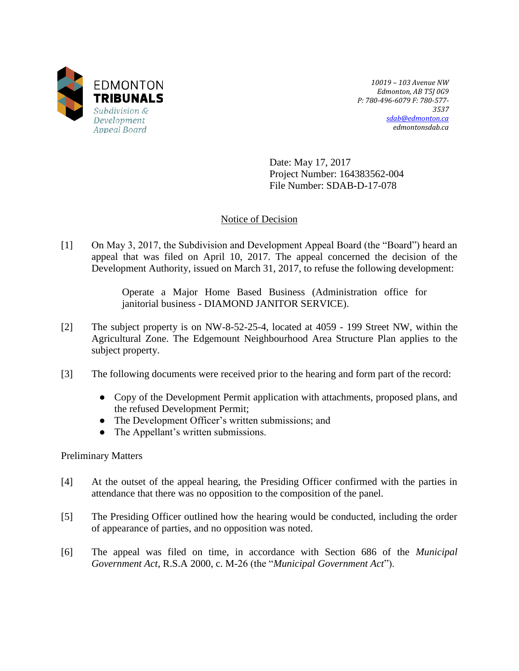

*10019 – 103 Avenue NW Edmonton, AB T5J 0G9 P: 780-496-6079 F: 780-577- 3537 [sdab@edmonton.ca](mailto:sdab@edmonton.ca) edmontonsdab.ca*

Date: May 17, 2017 Project Number: 164383562-004 File Number: SDAB-D-17-078

# Notice of Decision

[1] On May 3, 2017, the Subdivision and Development Appeal Board (the "Board") heard an appeal that was filed on April 10, 2017. The appeal concerned the decision of the Development Authority, issued on March 31, 2017, to refuse the following development:

> Operate a Major Home Based Business (Administration office for janitorial business - DIAMOND JANITOR SERVICE).

- [2] The subject property is on NW-8-52-25-4, located at 4059 199 Street NW, within the Agricultural Zone. The Edgemount Neighbourhood Area Structure Plan applies to the subject property.
- [3] The following documents were received prior to the hearing and form part of the record:
	- Copy of the Development Permit application with attachments, proposed plans, and the refused Development Permit;
	- The Development Officer's written submissions; and
	- The Appellant's written submissions.

Preliminary Matters

- [4] At the outset of the appeal hearing, the Presiding Officer confirmed with the parties in attendance that there was no opposition to the composition of the panel.
- [5] The Presiding Officer outlined how the hearing would be conducted, including the order of appearance of parties, and no opposition was noted.
- [6] The appeal was filed on time, in accordance with Section 686 of the *Municipal Government Act*, R.S.A 2000, c. M-26 (the "*Municipal Government Act*").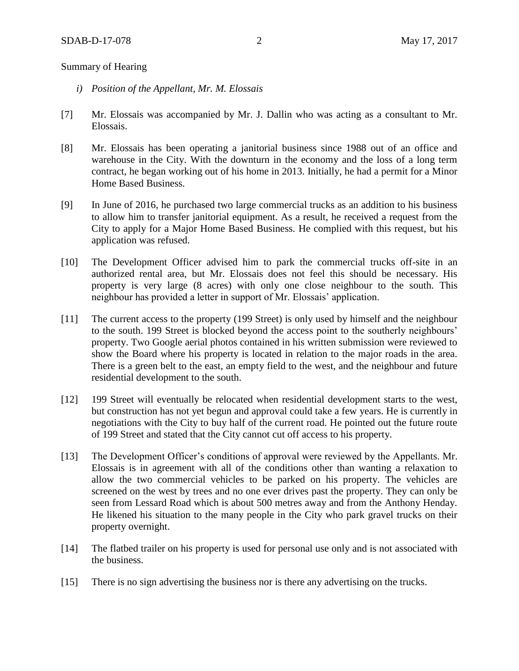#### Summary of Hearing

- *i) Position of the Appellant, Mr. M. Elossais*
- [7] Mr. Elossais was accompanied by Mr. J. Dallin who was acting as a consultant to Mr. Elossais.
- [8] Mr. Elossais has been operating a janitorial business since 1988 out of an office and warehouse in the City. With the downturn in the economy and the loss of a long term contract, he began working out of his home in 2013. Initially, he had a permit for a Minor Home Based Business.
- [9] In June of 2016, he purchased two large commercial trucks as an addition to his business to allow him to transfer janitorial equipment. As a result, he received a request from the City to apply for a Major Home Based Business. He complied with this request, but his application was refused.
- [10] The Development Officer advised him to park the commercial trucks off-site in an authorized rental area, but Mr. Elossais does not feel this should be necessary. His property is very large (8 acres) with only one close neighbour to the south. This neighbour has provided a letter in support of Mr. Elossais' application.
- [11] The current access to the property (199 Street) is only used by himself and the neighbour to the south. 199 Street is blocked beyond the access point to the southerly neighbours' property. Two Google aerial photos contained in his written submission were reviewed to show the Board where his property is located in relation to the major roads in the area. There is a green belt to the east, an empty field to the west, and the neighbour and future residential development to the south.
- [12] 199 Street will eventually be relocated when residential development starts to the west, but construction has not yet begun and approval could take a few years. He is currently in negotiations with the City to buy half of the current road. He pointed out the future route of 199 Street and stated that the City cannot cut off access to his property.
- [13] The Development Officer's conditions of approval were reviewed by the Appellants. Mr. Elossais is in agreement with all of the conditions other than wanting a relaxation to allow the two commercial vehicles to be parked on his property. The vehicles are screened on the west by trees and no one ever drives past the property. They can only be seen from Lessard Road which is about 500 metres away and from the Anthony Henday. He likened his situation to the many people in the City who park gravel trucks on their property overnight.
- [14] The flatbed trailer on his property is used for personal use only and is not associated with the business.
- [15] There is no sign advertising the business nor is there any advertising on the trucks.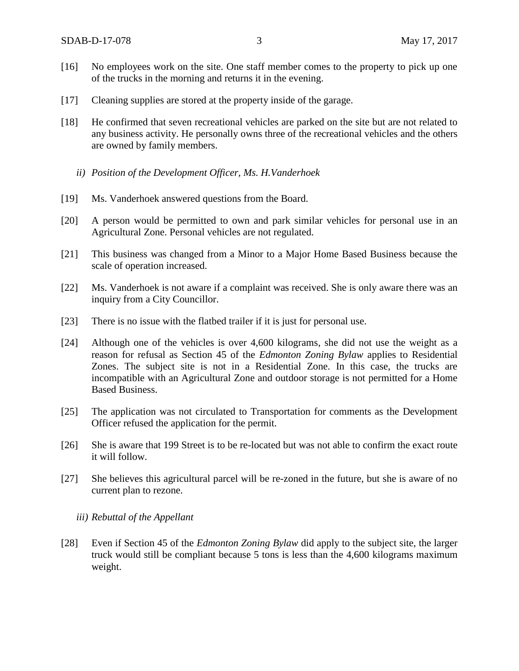- [16] No employees work on the site. One staff member comes to the property to pick up one of the trucks in the morning and returns it in the evening.
- [17] Cleaning supplies are stored at the property inside of the garage.
- [18] He confirmed that seven recreational vehicles are parked on the site but are not related to any business activity. He personally owns three of the recreational vehicles and the others are owned by family members.
	- *ii) Position of the Development Officer, Ms. H.Vanderhoek*
- [19] Ms. Vanderhoek answered questions from the Board.
- [20] A person would be permitted to own and park similar vehicles for personal use in an Agricultural Zone. Personal vehicles are not regulated.
- [21] This business was changed from a Minor to a Major Home Based Business because the scale of operation increased.
- [22] Ms. Vanderhoek is not aware if a complaint was received. She is only aware there was an inquiry from a City Councillor.
- [23] There is no issue with the flatbed trailer if it is just for personal use.
- [24] Although one of the vehicles is over 4,600 kilograms, she did not use the weight as a reason for refusal as Section 45 of the *Edmonton Zoning Bylaw* applies to Residential Zones. The subject site is not in a Residential Zone. In this case, the trucks are incompatible with an Agricultural Zone and outdoor storage is not permitted for a Home Based Business.
- [25] The application was not circulated to Transportation for comments as the Development Officer refused the application for the permit.
- [26] She is aware that 199 Street is to be re-located but was not able to confirm the exact route it will follow.
- [27] She believes this agricultural parcel will be re-zoned in the future, but she is aware of no current plan to rezone.
	- *iii) Rebuttal of the Appellant*
- [28] Even if Section 45 of the *Edmonton Zoning Bylaw* did apply to the subject site, the larger truck would still be compliant because 5 tons is less than the 4,600 kilograms maximum weight.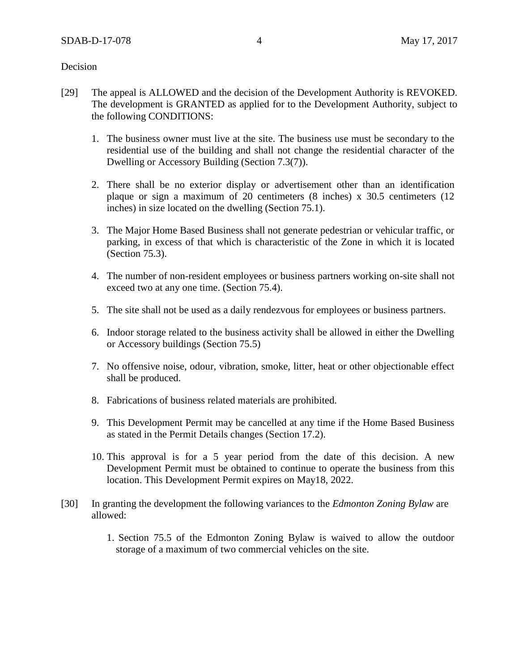Decision

- [29] The appeal is ALLOWED and the decision of the Development Authority is REVOKED. The development is GRANTED as applied for to the Development Authority, subject to the following CONDITIONS:
	- 1. The business owner must live at the site. The business use must be secondary to the residential use of the building and shall not change the residential character of the Dwelling or Accessory Building (Section 7.3(7)).
	- 2. There shall be no exterior display or advertisement other than an identification plaque or sign a maximum of 20 centimeters (8 inches) x 30.5 centimeters (12 inches) in size located on the dwelling (Section 75.1).
	- 3. The Major Home Based Business shall not generate pedestrian or vehicular traffic, or parking, in excess of that which is characteristic of the Zone in which it is located (Section 75.3).
	- 4. The number of non-resident employees or business partners working on-site shall not exceed two at any one time. (Section 75.4).
	- 5. The site shall not be used as a daily rendezvous for employees or business partners.
	- 6. Indoor storage related to the business activity shall be allowed in either the Dwelling or Accessory buildings (Section 75.5)
	- 7. No offensive noise, odour, vibration, smoke, litter, heat or other objectionable effect shall be produced.
	- 8. Fabrications of business related materials are prohibited.
	- 9. This Development Permit may be cancelled at any time if the Home Based Business as stated in the Permit Details changes (Section 17.2).
	- 10. This approval is for a 5 year period from the date of this decision. A new Development Permit must be obtained to continue to operate the business from this location. This Development Permit expires on May18, 2022.
- [30] In granting the development the following variances to the *Edmonton Zoning Bylaw* are allowed:
	- 1. Section 75.5 of the Edmonton Zoning Bylaw is waived to allow the outdoor storage of a maximum of two commercial vehicles on the site.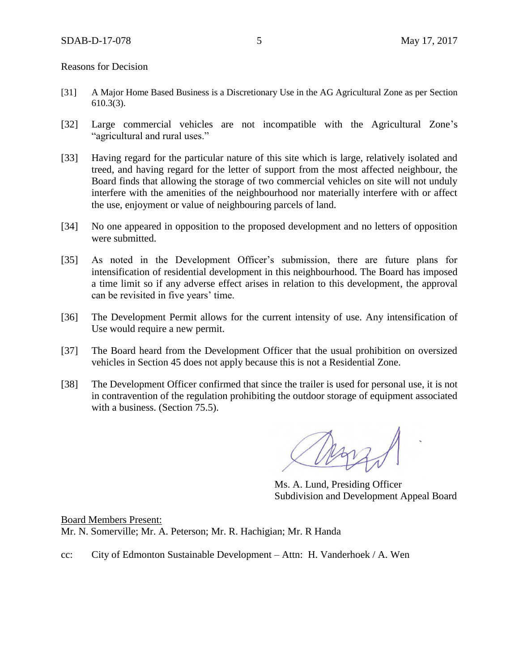Reasons for Decision

- [31] A Major Home Based Business is a Discretionary Use in the AG Agricultural Zone as per Section 610.3(3).
- [32] Large commercial vehicles are not incompatible with the Agricultural Zone's "agricultural and rural uses."
- [33] Having regard for the particular nature of this site which is large, relatively isolated and treed, and having regard for the letter of support from the most affected neighbour, the Board finds that allowing the storage of two commercial vehicles on site will not unduly interfere with the amenities of the neighbourhood nor materially interfere with or affect the use, enjoyment or value of neighbouring parcels of land.
- [34] No one appeared in opposition to the proposed development and no letters of opposition were submitted.
- [35] As noted in the Development Officer's submission, there are future plans for intensification of residential development in this neighbourhood. The Board has imposed a time limit so if any adverse effect arises in relation to this development, the approval can be revisited in five years' time.
- [36] The Development Permit allows for the current intensity of use. Any intensification of Use would require a new permit.
- [37] The Board heard from the Development Officer that the usual prohibition on oversized vehicles in Section 45 does not apply because this is not a Residential Zone.
- [38] The Development Officer confirmed that since the trailer is used for personal use, it is not in contravention of the regulation prohibiting the outdoor storage of equipment associated with a business. (Section 75.5).

Marz

Ms. A. Lund, Presiding Officer Subdivision and Development Appeal Board

Board Members Present: Mr. N. Somerville; Mr. A. Peterson; Mr. R. Hachigian; Mr. R Handa

cc: City of Edmonton Sustainable Development – Attn: H. Vanderhoek / A. Wen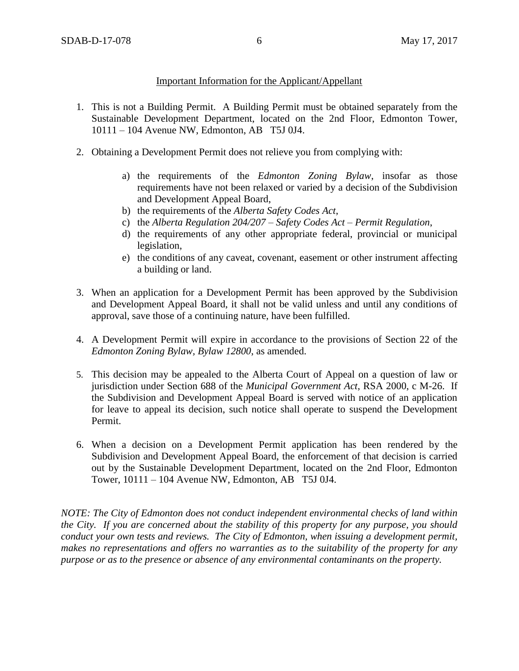#### Important Information for the Applicant/Appellant

- 1. This is not a Building Permit. A Building Permit must be obtained separately from the Sustainable Development Department, located on the 2nd Floor, Edmonton Tower, 10111 – 104 Avenue NW, Edmonton, AB T5J 0J4.
- 2. Obtaining a Development Permit does not relieve you from complying with:
	- a) the requirements of the *Edmonton Zoning Bylaw*, insofar as those requirements have not been relaxed or varied by a decision of the Subdivision and Development Appeal Board,
	- b) the requirements of the *Alberta Safety Codes Act*,
	- c) the *Alberta Regulation 204/207 – Safety Codes Act – Permit Regulation*,
	- d) the requirements of any other appropriate federal, provincial or municipal legislation,
	- e) the conditions of any caveat, covenant, easement or other instrument affecting a building or land.
- 3. When an application for a Development Permit has been approved by the Subdivision and Development Appeal Board, it shall not be valid unless and until any conditions of approval, save those of a continuing nature, have been fulfilled.
- 4. A Development Permit will expire in accordance to the provisions of Section 22 of the *Edmonton Zoning Bylaw, Bylaw 12800*, as amended.
- 5. This decision may be appealed to the Alberta Court of Appeal on a question of law or jurisdiction under Section 688 of the *Municipal Government Act*, RSA 2000, c M-26. If the Subdivision and Development Appeal Board is served with notice of an application for leave to appeal its decision, such notice shall operate to suspend the Development Permit.
- 6. When a decision on a Development Permit application has been rendered by the Subdivision and Development Appeal Board, the enforcement of that decision is carried out by the Sustainable Development Department, located on the 2nd Floor, Edmonton Tower, 10111 – 104 Avenue NW, Edmonton, AB T5J 0J4.

*NOTE: The City of Edmonton does not conduct independent environmental checks of land within the City. If you are concerned about the stability of this property for any purpose, you should conduct your own tests and reviews. The City of Edmonton, when issuing a development permit, makes no representations and offers no warranties as to the suitability of the property for any purpose or as to the presence or absence of any environmental contaminants on the property.*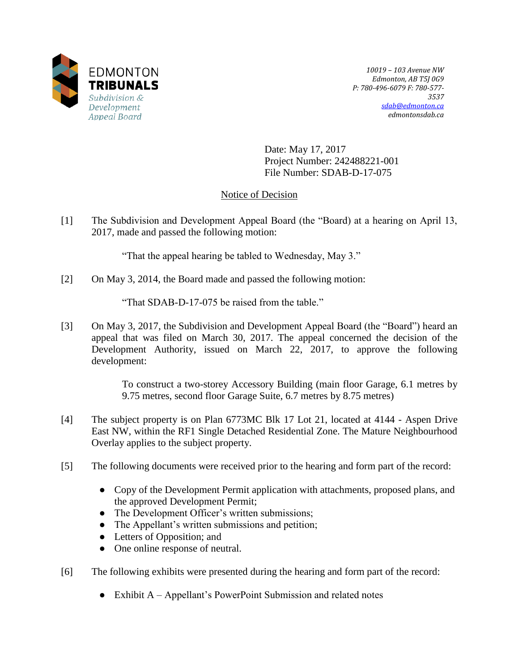

*10019 – 103 Avenue NW Edmonton, AB T5J 0G9 P: 780-496-6079 F: 780-577- 3537 [sdab@edmonton.ca](mailto:sdab@edmonton.ca) edmontonsdab.ca*

Date: May 17, 2017 Project Number: 242488221-001 File Number: SDAB-D-17-075

# Notice of Decision

[1] The Subdivision and Development Appeal Board (the "Board) at a hearing on April 13, 2017, made and passed the following motion:

"That the appeal hearing be tabled to Wednesday, May 3."

[2] On May 3, 2014, the Board made and passed the following motion:

"That SDAB-D-17-075 be raised from the table."

[3] On May 3, 2017, the Subdivision and Development Appeal Board (the "Board") heard an appeal that was filed on March 30, 2017. The appeal concerned the decision of the Development Authority, issued on March 22, 2017, to approve the following development:

> To construct a two-storey Accessory Building (main floor Garage, 6.1 metres by 9.75 metres, second floor Garage Suite, 6.7 metres by 8.75 metres)

- [4] The subject property is on Plan 6773MC Blk 17 Lot 21, located at 4144 Aspen Drive East NW, within the RF1 Single Detached Residential Zone. The Mature Neighbourhood Overlay applies to the subject property.
- [5] The following documents were received prior to the hearing and form part of the record:
	- Copy of the Development Permit application with attachments, proposed plans, and the approved Development Permit;
	- The Development Officer's written submissions;
	- The Appellant's written submissions and petition;
	- Letters of Opposition; and
	- One online response of neutral.
- [6] The following exhibits were presented during the hearing and form part of the record:
	- Exhibit A Appellant's PowerPoint Submission and related notes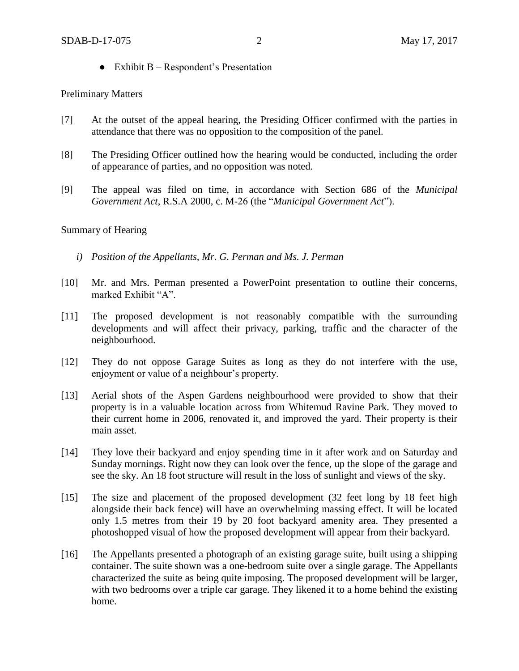$\bullet$  Exhibit B – Respondent's Presentation

## Preliminary Matters

- [7] At the outset of the appeal hearing, the Presiding Officer confirmed with the parties in attendance that there was no opposition to the composition of the panel.
- [8] The Presiding Officer outlined how the hearing would be conducted, including the order of appearance of parties, and no opposition was noted.
- [9] The appeal was filed on time, in accordance with Section 686 of the *Municipal Government Act*, R.S.A 2000, c. M-26 (the "*Municipal Government Act*").

# Summary of Hearing

- *i) Position of the Appellants, Mr. G. Perman and Ms. J. Perman*
- [10] Mr. and Mrs. Perman presented a PowerPoint presentation to outline their concerns, marked Exhibit "A".
- [11] The proposed development is not reasonably compatible with the surrounding developments and will affect their privacy, parking, traffic and the character of the neighbourhood.
- [12] They do not oppose Garage Suites as long as they do not interfere with the use, enjoyment or value of a neighbour's property.
- [13] Aerial shots of the Aspen Gardens neighbourhood were provided to show that their property is in a valuable location across from Whitemud Ravine Park. They moved to their current home in 2006, renovated it, and improved the yard. Their property is their main asset.
- [14] They love their backyard and enjoy spending time in it after work and on Saturday and Sunday mornings. Right now they can look over the fence, up the slope of the garage and see the sky. An 18 foot structure will result in the loss of sunlight and views of the sky.
- [15] The size and placement of the proposed development (32 feet long by 18 feet high alongside their back fence) will have an overwhelming massing effect. It will be located only 1.5 metres from their 19 by 20 foot backyard amenity area. They presented a photoshopped visual of how the proposed development will appear from their backyard.
- [16] The Appellants presented a photograph of an existing garage suite, built using a shipping container. The suite shown was a one-bedroom suite over a single garage. The Appellants characterized the suite as being quite imposing. The proposed development will be larger, with two bedrooms over a triple car garage. They likened it to a home behind the existing home.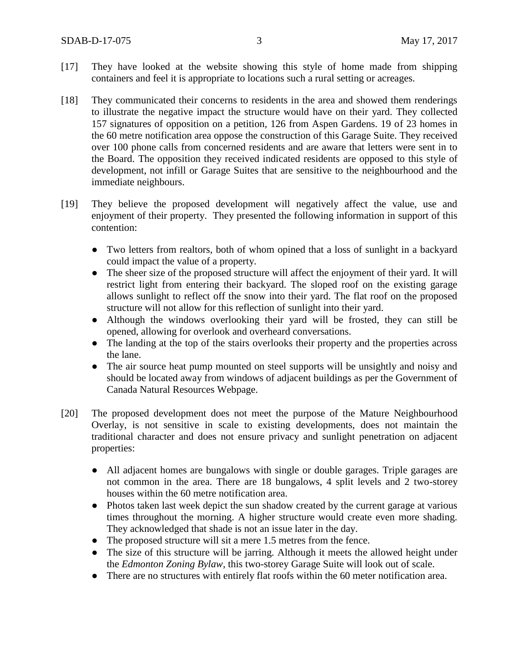- [17] They have looked at the website showing this style of home made from shipping containers and feel it is appropriate to locations such a rural setting or acreages.
- [18] They communicated their concerns to residents in the area and showed them renderings to illustrate the negative impact the structure would have on their yard. They collected 157 signatures of opposition on a petition, 126 from Aspen Gardens. 19 of 23 homes in the 60 metre notification area oppose the construction of this Garage Suite. They received over 100 phone calls from concerned residents and are aware that letters were sent in to the Board. The opposition they received indicated residents are opposed to this style of development, not infill or Garage Suites that are sensitive to the neighbourhood and the immediate neighbours.
- [19] They believe the proposed development will negatively affect the value, use and enjoyment of their property. They presented the following information in support of this contention:
	- Two letters from realtors, both of whom opined that a loss of sunlight in a backyard could impact the value of a property.
	- The sheer size of the proposed structure will affect the enjoyment of their yard. It will restrict light from entering their backyard. The sloped roof on the existing garage allows sunlight to reflect off the snow into their yard. The flat roof on the proposed structure will not allow for this reflection of sunlight into their yard.
	- Although the windows overlooking their yard will be frosted, they can still be opened, allowing for overlook and overheard conversations.
	- The landing at the top of the stairs overlooks their property and the properties across the lane.
	- The air source heat pump mounted on steel supports will be unsightly and noisy and should be located away from windows of adjacent buildings as per the Government of Canada Natural Resources Webpage.
- [20] The proposed development does not meet the purpose of the Mature Neighbourhood Overlay, is not sensitive in scale to existing developments, does not maintain the traditional character and does not ensure privacy and sunlight penetration on adjacent properties:
	- All adjacent homes are bungalows with single or double garages. Triple garages are not common in the area. There are 18 bungalows, 4 split levels and 2 two-storey houses within the 60 metre notification area.
	- Photos taken last week depict the sun shadow created by the current garage at various times throughout the morning. A higher structure would create even more shading. They acknowledged that shade is not an issue later in the day.
	- The proposed structure will sit a mere 1.5 metres from the fence.
	- The size of this structure will be jarring. Although it meets the allowed height under the *Edmonton Zoning Bylaw*, this two-storey Garage Suite will look out of scale.
	- There are no structures with entirely flat roofs within the 60 meter notification area.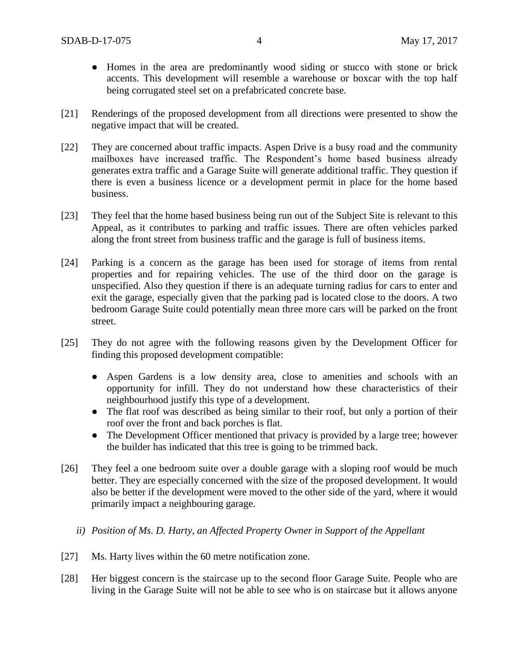- Homes in the area are predominantly wood siding or stucco with stone or brick accents. This development will resemble a warehouse or boxcar with the top half being corrugated steel set on a prefabricated concrete base.
- [21] Renderings of the proposed development from all directions were presented to show the negative impact that will be created.
- [22] They are concerned about traffic impacts. Aspen Drive is a busy road and the community mailboxes have increased traffic. The Respondent's home based business already generates extra traffic and a Garage Suite will generate additional traffic. They question if there is even a business licence or a development permit in place for the home based business.
- [23] They feel that the home based business being run out of the Subject Site is relevant to this Appeal, as it contributes to parking and traffic issues. There are often vehicles parked along the front street from business traffic and the garage is full of business items.
- [24] Parking is a concern as the garage has been used for storage of items from rental properties and for repairing vehicles. The use of the third door on the garage is unspecified. Also they question if there is an adequate turning radius for cars to enter and exit the garage, especially given that the parking pad is located close to the doors. A two bedroom Garage Suite could potentially mean three more cars will be parked on the front street.
- [25] They do not agree with the following reasons given by the Development Officer for finding this proposed development compatible:
	- Aspen Gardens is a low density area, close to amenities and schools with an opportunity for infill. They do not understand how these characteristics of their neighbourhood justify this type of a development.
	- The flat roof was described as being similar to their roof, but only a portion of their roof over the front and back porches is flat.
	- The Development Officer mentioned that privacy is provided by a large tree; however the builder has indicated that this tree is going to be trimmed back.
- [26] They feel a one bedroom suite over a double garage with a sloping roof would be much better. They are especially concerned with the size of the proposed development. It would also be better if the development were moved to the other side of the yard, where it would primarily impact a neighbouring garage.
	- *ii) Position of Ms. D. Harty, an Affected Property Owner in Support of the Appellant*
- [27] Ms. Harty lives within the 60 metre notification zone.
- [28] Her biggest concern is the staircase up to the second floor Garage Suite. People who are living in the Garage Suite will not be able to see who is on staircase but it allows anyone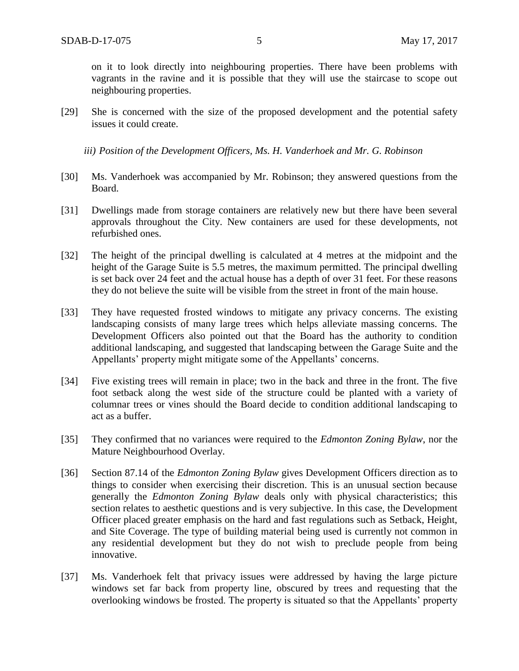on it to look directly into neighbouring properties. There have been problems with vagrants in the ravine and it is possible that they will use the staircase to scope out neighbouring properties.

[29] She is concerned with the size of the proposed development and the potential safety issues it could create.

*iii) Position of the Development Officers, Ms. H. Vanderhoek and Mr. G. Robinson*

- [30] Ms. Vanderhoek was accompanied by Mr. Robinson; they answered questions from the Board.
- [31] Dwellings made from storage containers are relatively new but there have been several approvals throughout the City. New containers are used for these developments, not refurbished ones.
- [32] The height of the principal dwelling is calculated at 4 metres at the midpoint and the height of the Garage Suite is 5.5 metres, the maximum permitted. The principal dwelling is set back over 24 feet and the actual house has a depth of over 31 feet. For these reasons they do not believe the suite will be visible from the street in front of the main house.
- [33] They have requested frosted windows to mitigate any privacy concerns. The existing landscaping consists of many large trees which helps alleviate massing concerns. The Development Officers also pointed out that the Board has the authority to condition additional landscaping, and suggested that landscaping between the Garage Suite and the Appellants' property might mitigate some of the Appellants' concerns.
- [34] Five existing trees will remain in place; two in the back and three in the front. The five foot setback along the west side of the structure could be planted with a variety of columnar trees or vines should the Board decide to condition additional landscaping to act as a buffer.
- [35] They confirmed that no variances were required to the *Edmonton Zoning Bylaw*, nor the Mature Neighbourhood Overlay.
- [36] Section 87.14 of the *Edmonton Zoning Bylaw* gives Development Officers direction as to things to consider when exercising their discretion. This is an unusual section because generally the *Edmonton Zoning Bylaw* deals only with physical characteristics; this section relates to aesthetic questions and is very subjective. In this case, the Development Officer placed greater emphasis on the hard and fast regulations such as Setback, Height, and Site Coverage. The type of building material being used is currently not common in any residential development but they do not wish to preclude people from being innovative.
- [37] Ms. Vanderhoek felt that privacy issues were addressed by having the large picture windows set far back from property line, obscured by trees and requesting that the overlooking windows be frosted. The property is situated so that the Appellants' property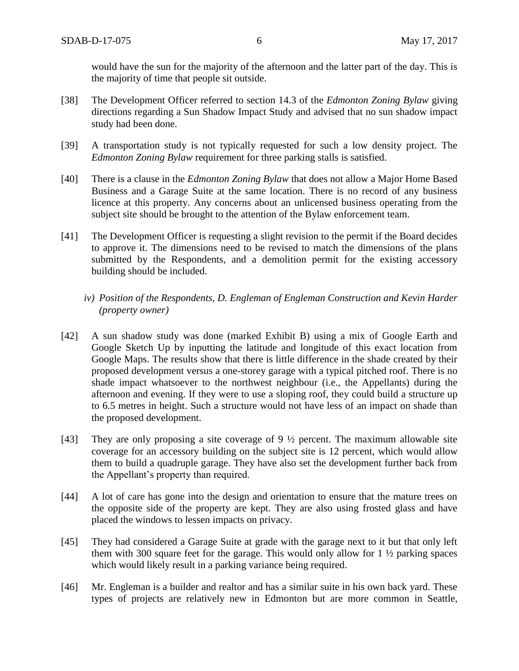would have the sun for the majority of the afternoon and the latter part of the day. This is the majority of time that people sit outside.

- [38] The Development Officer referred to section 14.3 of the *Edmonton Zoning Bylaw* giving directions regarding a Sun Shadow Impact Study and advised that no sun shadow impact study had been done.
- [39] A transportation study is not typically requested for such a low density project. The *Edmonton Zoning Bylaw* requirement for three parking stalls is satisfied.
- [40] There is a clause in the *Edmonton Zoning Bylaw* that does not allow a Major Home Based Business and a Garage Suite at the same location. There is no record of any business licence at this property. Any concerns about an unlicensed business operating from the subject site should be brought to the attention of the Bylaw enforcement team.
- [41] The Development Officer is requesting a slight revision to the permit if the Board decides to approve it. The dimensions need to be revised to match the dimensions of the plans submitted by the Respondents, and a demolition permit for the existing accessory building should be included.
	- *iv) Position of the Respondents, D. Engleman of Engleman Construction and Kevin Harder (property owner)*
- [42] A sun shadow study was done (marked Exhibit B) using a mix of Google Earth and Google Sketch Up by inputting the latitude and longitude of this exact location from Google Maps. The results show that there is little difference in the shade created by their proposed development versus a one-storey garage with a typical pitched roof. There is no shade impact whatsoever to the northwest neighbour (i.e., the Appellants) during the afternoon and evening. If they were to use a sloping roof, they could build a structure up to 6.5 metres in height. Such a structure would not have less of an impact on shade than the proposed development.
- [43] They are only proposing a site coverage of 9 ½ percent. The maximum allowable site coverage for an accessory building on the subject site is 12 percent, which would allow them to build a quadruple garage. They have also set the development further back from the Appellant's property than required.
- [44] A lot of care has gone into the design and orientation to ensure that the mature trees on the opposite side of the property are kept. They are also using frosted glass and have placed the windows to lessen impacts on privacy.
- [45] They had considered a Garage Suite at grade with the garage next to it but that only left them with 300 square feet for the garage. This would only allow for  $1 \frac{1}{2}$  parking spaces which would likely result in a parking variance being required.
- [46] Mr. Engleman is a builder and realtor and has a similar suite in his own back yard. These types of projects are relatively new in Edmonton but are more common in Seattle,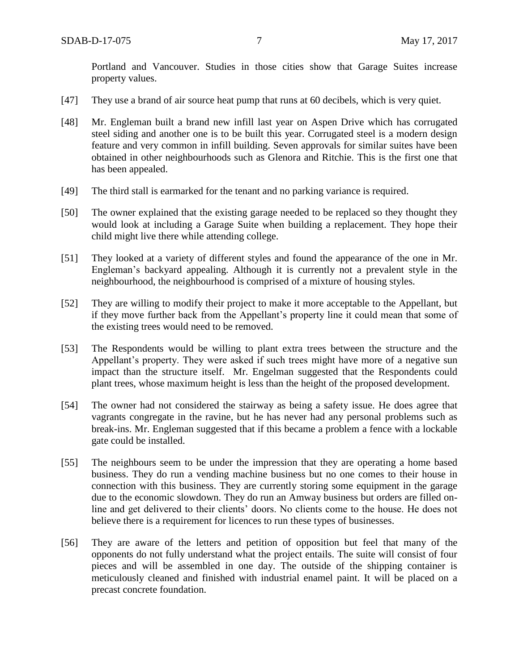- [47] They use a brand of air source heat pump that runs at 60 decibels, which is very quiet.
- [48] Mr. Engleman built a brand new infill last year on Aspen Drive which has corrugated steel siding and another one is to be built this year. Corrugated steel is a modern design feature and very common in infill building. Seven approvals for similar suites have been obtained in other neighbourhoods such as Glenora and Ritchie. This is the first one that has been appealed.
- [49] The third stall is earmarked for the tenant and no parking variance is required.
- [50] The owner explained that the existing garage needed to be replaced so they thought they would look at including a Garage Suite when building a replacement. They hope their child might live there while attending college.
- [51] They looked at a variety of different styles and found the appearance of the one in Mr. Engleman's backyard appealing. Although it is currently not a prevalent style in the neighbourhood, the neighbourhood is comprised of a mixture of housing styles.
- [52] They are willing to modify their project to make it more acceptable to the Appellant, but if they move further back from the Appellant's property line it could mean that some of the existing trees would need to be removed.
- [53] The Respondents would be willing to plant extra trees between the structure and the Appellant's property. They were asked if such trees might have more of a negative sun impact than the structure itself. Mr. Engelman suggested that the Respondents could plant trees, whose maximum height is less than the height of the proposed development.
- [54] The owner had not considered the stairway as being a safety issue. He does agree that vagrants congregate in the ravine, but he has never had any personal problems such as break-ins. Mr. Engleman suggested that if this became a problem a fence with a lockable gate could be installed.
- [55] The neighbours seem to be under the impression that they are operating a home based business. They do run a vending machine business but no one comes to their house in connection with this business. They are currently storing some equipment in the garage due to the economic slowdown. They do run an Amway business but orders are filled online and get delivered to their clients' doors. No clients come to the house. He does not believe there is a requirement for licences to run these types of businesses.
- [56] They are aware of the letters and petition of opposition but feel that many of the opponents do not fully understand what the project entails. The suite will consist of four pieces and will be assembled in one day. The outside of the shipping container is meticulously cleaned and finished with industrial enamel paint. It will be placed on a precast concrete foundation.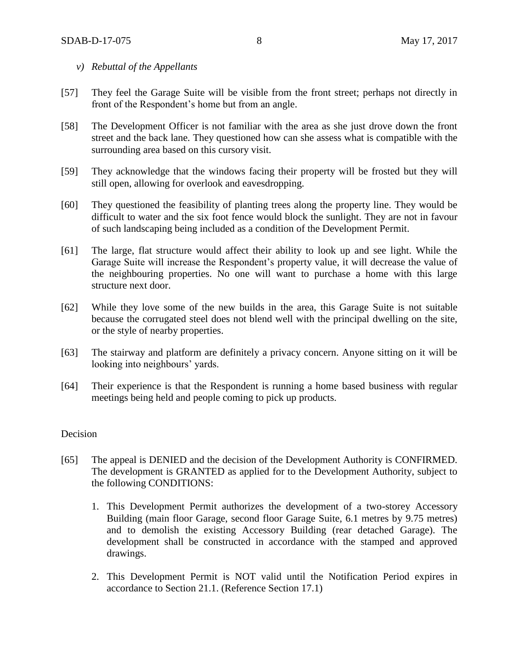- *v) Rebuttal of the Appellants*
- [57] They feel the Garage Suite will be visible from the front street; perhaps not directly in front of the Respondent's home but from an angle.
- [58] The Development Officer is not familiar with the area as she just drove down the front street and the back lane. They questioned how can she assess what is compatible with the surrounding area based on this cursory visit.
- [59] They acknowledge that the windows facing their property will be frosted but they will still open, allowing for overlook and eavesdropping.
- [60] They questioned the feasibility of planting trees along the property line. They would be difficult to water and the six foot fence would block the sunlight. They are not in favour of such landscaping being included as a condition of the Development Permit.
- [61] The large, flat structure would affect their ability to look up and see light. While the Garage Suite will increase the Respondent's property value, it will decrease the value of the neighbouring properties. No one will want to purchase a home with this large structure next door.
- [62] While they love some of the new builds in the area, this Garage Suite is not suitable because the corrugated steel does not blend well with the principal dwelling on the site, or the style of nearby properties.
- [63] The stairway and platform are definitely a privacy concern. Anyone sitting on it will be looking into neighbours' yards.
- [64] Their experience is that the Respondent is running a home based business with regular meetings being held and people coming to pick up products.

# Decision

- [65] The appeal is DENIED and the decision of the Development Authority is CONFIRMED. The development is GRANTED as applied for to the Development Authority, subject to the following CONDITIONS:
	- 1. This Development Permit authorizes the development of a two-storey Accessory Building (main floor Garage, second floor Garage Suite, 6.1 metres by 9.75 metres) and to demolish the existing Accessory Building (rear detached Garage). The development shall be constructed in accordance with the stamped and approved drawings.
	- 2. This Development Permit is NOT valid until the Notification Period expires in accordance to Section 21.1. (Reference Section 17.1)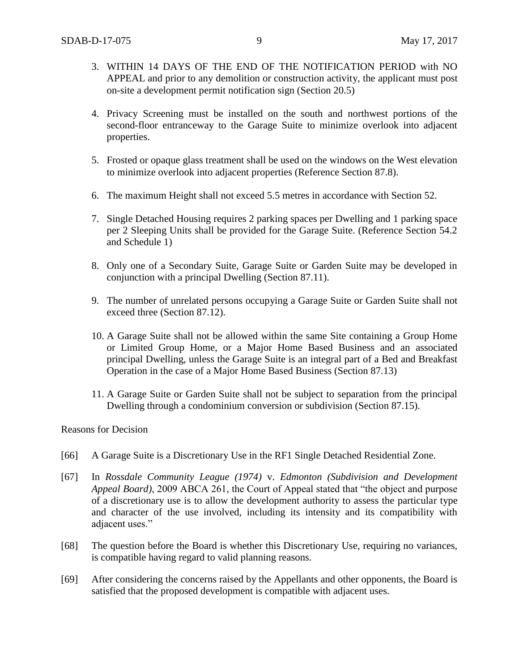- 3. WITHIN 14 DAYS OF THE END OF THE NOTIFICATION PERIOD with NO APPEAL and prior to any demolition or construction activity, the applicant must post on-site a development permit notification sign (Section 20.5)
- 4. Privacy Screening must be installed on the south and northwest portions of the second-floor entranceway to the Garage Suite to minimize overlook into adjacent properties.
- 5. Frosted or opaque glass treatment shall be used on the windows on the West elevation to minimize overlook into adjacent properties (Reference Section 87.8).
- 6. The maximum Height shall not exceed 5.5 metres in accordance with Section 52.
- 7. Single Detached Housing requires 2 parking spaces per Dwelling and 1 parking space per 2 Sleeping Units shall be provided for the Garage Suite. (Reference Section 54.2 and Schedule 1)
- 8. Only one of a Secondary Suite, Garage Suite or Garden Suite may be developed in conjunction with a principal Dwelling (Section 87.11).
- 9. The number of unrelated persons occupying a Garage Suite or Garden Suite shall not exceed three (Section 87.12).
- 10. A Garage Suite shall not be allowed within the same Site containing a Group Home or Limited Group Home, or a Major Home Based Business and an associated principal Dwelling, unless the Garage Suite is an integral part of a Bed and Breakfast Operation in the case of a Major Home Based Business (Section 87.13)
- 11. A Garage Suite or Garden Suite shall not be subject to separation from the principal Dwelling through a condominium conversion or subdivision (Section 87.15).

#### Reasons for Decision

- [66] A Garage Suite is a Discretionary Use in the RF1 Single Detached Residential Zone.
- [67] In *Rossdale Community League (1974)* v. *Edmonton (Subdivision and Development Appeal Board)*, 2009 ABCA 261, the Court of Appeal stated that "the object and purpose of a discretionary use is to allow the development authority to assess the particular type and character of the use involved, including its intensity and its compatibility with adjacent uses."
- [68] The question before the Board is whether this Discretionary Use, requiring no variances, is compatible having regard to valid planning reasons.
- [69] After considering the concerns raised by the Appellants and other opponents, the Board is satisfied that the proposed development is compatible with adjacent uses.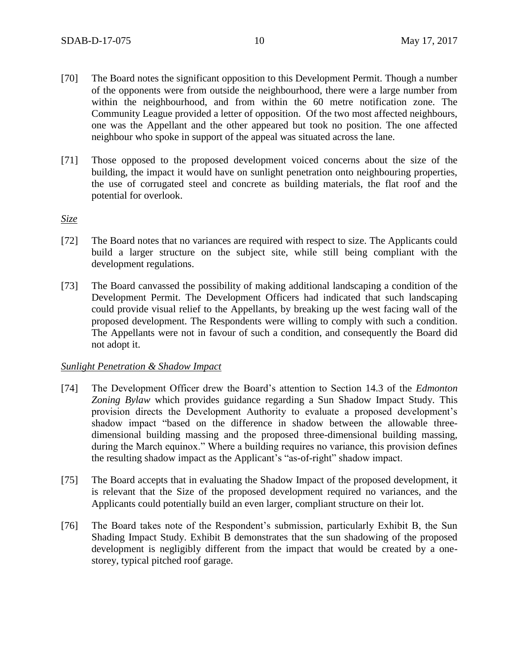- [70] The Board notes the significant opposition to this Development Permit. Though a number of the opponents were from outside the neighbourhood, there were a large number from within the neighbourhood, and from within the 60 metre notification zone. The Community League provided a letter of opposition. Of the two most affected neighbours, one was the Appellant and the other appeared but took no position. The one affected neighbour who spoke in support of the appeal was situated across the lane.
- [71] Those opposed to the proposed development voiced concerns about the size of the building, the impact it would have on sunlight penetration onto neighbouring properties, the use of corrugated steel and concrete as building materials, the flat roof and the potential for overlook.

*Size*

- [72] The Board notes that no variances are required with respect to size. The Applicants could build a larger structure on the subject site, while still being compliant with the development regulations.
- [73] The Board canvassed the possibility of making additional landscaping a condition of the Development Permit. The Development Officers had indicated that such landscaping could provide visual relief to the Appellants, by breaking up the west facing wall of the proposed development. The Respondents were willing to comply with such a condition. The Appellants were not in favour of such a condition, and consequently the Board did not adopt it.

#### *Sunlight Penetration & Shadow Impact*

- [74] The Development Officer drew the Board's attention to Section 14.3 of the *Edmonton Zoning Bylaw* which provides guidance regarding a Sun Shadow Impact Study. This provision directs the Development Authority to evaluate a proposed development's shadow impact "based on the difference in shadow between the allowable threedimensional building massing and the proposed three-dimensional building massing, during the March equinox." Where a building requires no variance, this provision defines the resulting shadow impact as the Applicant's "as-of-right" shadow impact.
- [75] The Board accepts that in evaluating the Shadow Impact of the proposed development, it is relevant that the Size of the proposed development required no variances, and the Applicants could potentially build an even larger, compliant structure on their lot.
- [76] The Board takes note of the Respondent's submission, particularly Exhibit B, the Sun Shading Impact Study. Exhibit B demonstrates that the sun shadowing of the proposed development is negligibly different from the impact that would be created by a onestorey, typical pitched roof garage.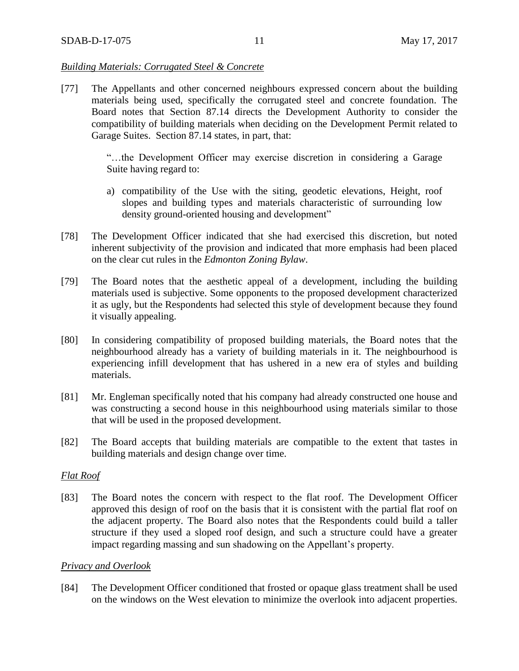## *Building Materials: Corrugated Steel & Concrete*

[77] The Appellants and other concerned neighbours expressed concern about the building materials being used, specifically the corrugated steel and concrete foundation. The Board notes that Section 87.14 directs the Development Authority to consider the compatibility of building materials when deciding on the Development Permit related to Garage Suites. Section 87.14 states, in part, that:

> "…the Development Officer may exercise discretion in considering a Garage Suite having regard to:

- a) compatibility of the Use with the siting, geodetic elevations, Height, roof slopes and building types and materials characteristic of surrounding low density ground-oriented housing and development"
- [78] The Development Officer indicated that she had exercised this discretion, but noted inherent subjectivity of the provision and indicated that more emphasis had been placed on the clear cut rules in the *Edmonton Zoning Bylaw*.
- [79] The Board notes that the aesthetic appeal of a development, including the building materials used is subjective. Some opponents to the proposed development characterized it as ugly, but the Respondents had selected this style of development because they found it visually appealing.
- [80] In considering compatibility of proposed building materials, the Board notes that the neighbourhood already has a variety of building materials in it. The neighbourhood is experiencing infill development that has ushered in a new era of styles and building materials.
- [81] Mr. Engleman specifically noted that his company had already constructed one house and was constructing a second house in this neighbourhood using materials similar to those that will be used in the proposed development.
- [82] The Board accepts that building materials are compatible to the extent that tastes in building materials and design change over time.

#### *Flat Roof*

[83] The Board notes the concern with respect to the flat roof. The Development Officer approved this design of roof on the basis that it is consistent with the partial flat roof on the adjacent property. The Board also notes that the Respondents could build a taller structure if they used a sloped roof design, and such a structure could have a greater impact regarding massing and sun shadowing on the Appellant's property.

#### *Privacy and Overlook*

[84] The Development Officer conditioned that frosted or opaque glass treatment shall be used on the windows on the West elevation to minimize the overlook into adjacent properties.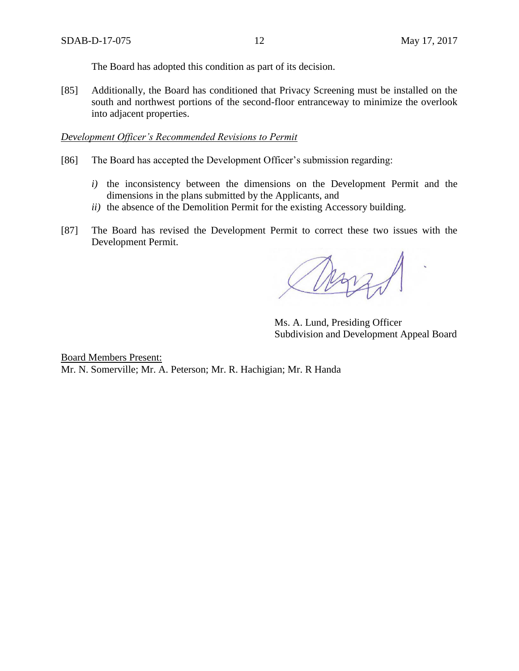The Board has adopted this condition as part of its decision.

[85] Additionally, the Board has conditioned that Privacy Screening must be installed on the south and northwest portions of the second-floor entranceway to minimize the overlook into adjacent properties.

## *Development Officer's Recommended Revisions to Permit*

- [86] The Board has accepted the Development Officer's submission regarding:
	- *i)* the inconsistency between the dimensions on the Development Permit and the dimensions in the plans submitted by the Applicants, and
	- *ii)* the absence of the Demolition Permit for the existing Accessory building.
- [87] The Board has revised the Development Permit to correct these two issues with the Development Permit.

Ms. A. Lund, Presiding Officer Subdivision and Development Appeal Board

Board Members Present: Mr. N. Somerville; Mr. A. Peterson; Mr. R. Hachigian; Mr. R Handa